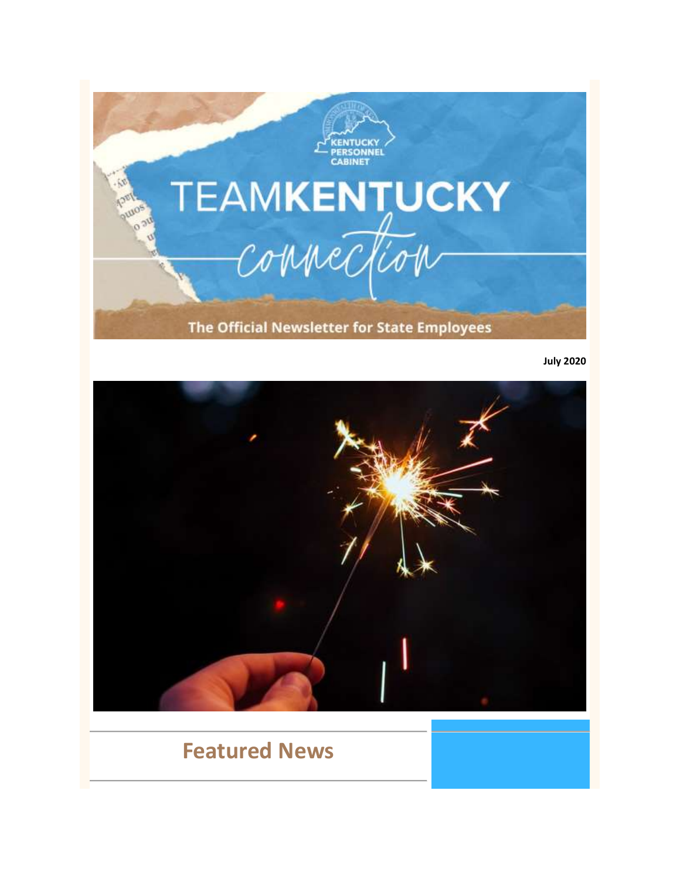

**July 2020**



# **Featured News**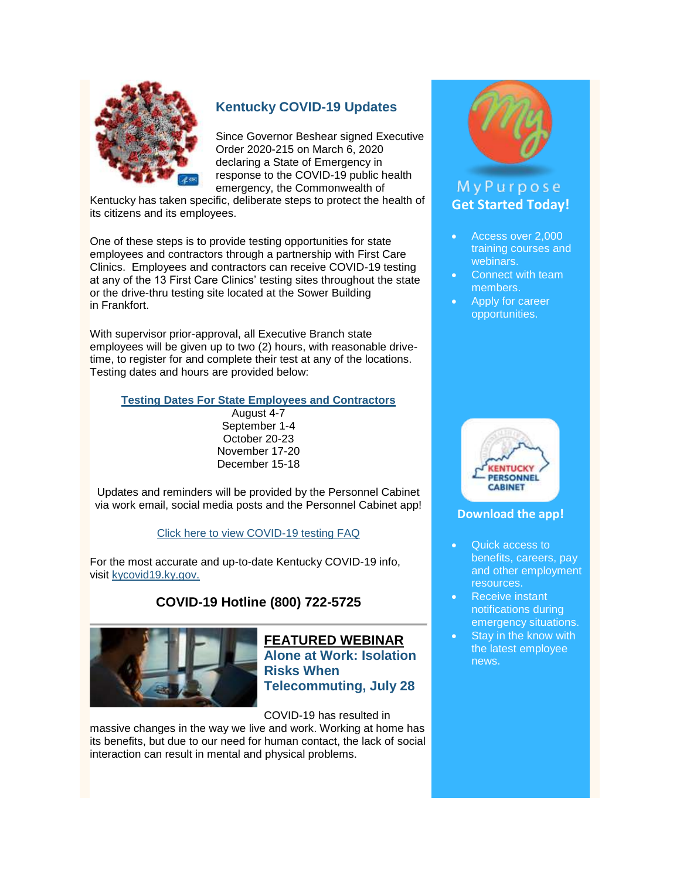

## **[Kentucky COVID-19 Updates](https://govstatus.egov.com/kycovid19)**

Since Governor Beshear signed Executive Order 2020-215 on March 6, 2020 declaring a State of Emergency in response to the COVID-19 public health emergency, the Commonwealth of

Kentucky has taken specific, deliberate steps to protect the health of its citizens and its employees.

One of these steps is to provide testing opportunities for state employees and contractors through a partnership with First Care Clinics. Employees and contractors can receive COVID-19 testing at any of the 13 First Care Clinics' testing sites throughout the state or the drive-thru testing site located at the Sower Building in Frankfort.

With supervisor prior-approval, all Executive Branch state employees will be given up to two (2) hours, with reasonable drivetime, to register for and complete their test at any of the locations. Testing dates and hours are provided below:

**[Testing Dates For State Employees and Contractors](https://personnel.ky.gov/DHRA/COVID19-DrivethruTesting_06302020.pdf)**

August 4-7 September 1-4 October 20-23 November 17-20 December 15-18

Updates and reminders will be provided by the Personnel Cabinet via work email, social media posts and the Personnel Cabinet app!

[Click here to view COVID-19 testing FAQ](https://personnel.ky.gov/DHRA/COVID19-FirstCareTestingFAQ.pdf)

For the most accurate and up-to-date Kentucky COVID-19 info, visit [kycovid19.ky.gov.](https://govstatus.egov.com/kycovid19)

## **COVID-19 Hotline (800) 722-5725**



**FEATURED WEBINAR [Alone at Work: Isolation](https://personnel.ky.gov/Lists/CalendarOfEvents/DispForm.aspx?ID=384&Source=https%3A%2F%2Fpersonnel%2Eky%2Egov%2FPages%2Femployeeevents%2Easpx)  [Risks When](https://personnel.ky.gov/Lists/CalendarOfEvents/DispForm.aspx?ID=384&Source=https%3A%2F%2Fpersonnel%2Eky%2Egov%2FPages%2Femployeeevents%2Easpx)  [Telecommuting, July 28](https://personnel.ky.gov/Lists/CalendarOfEvents/DispForm.aspx?ID=384&Source=https%3A%2F%2Fpersonnel%2Eky%2Egov%2FPages%2Femployeeevents%2Easpx)**

COVID-19 has resulted in

massive changes in the way we live and work. Working at home has its benefits, but due to our need for human contact, the lack of social interaction can result in mental and physical problems.



## MyPurpose **[Get Started Today!](https://mypurpose.ky.gov/)**

- Access over 2,000 training courses and webinars.
- Connect with team members.
- Apply for career opportunities.



## **[Download the app!](https://youtu.be/HJ3xwpwmDf4)**

- Quick access to benefits, careers, pay and other employment resources.
- Receive instant notifications during emergency situations.
- Stay in the know with the latest employee news.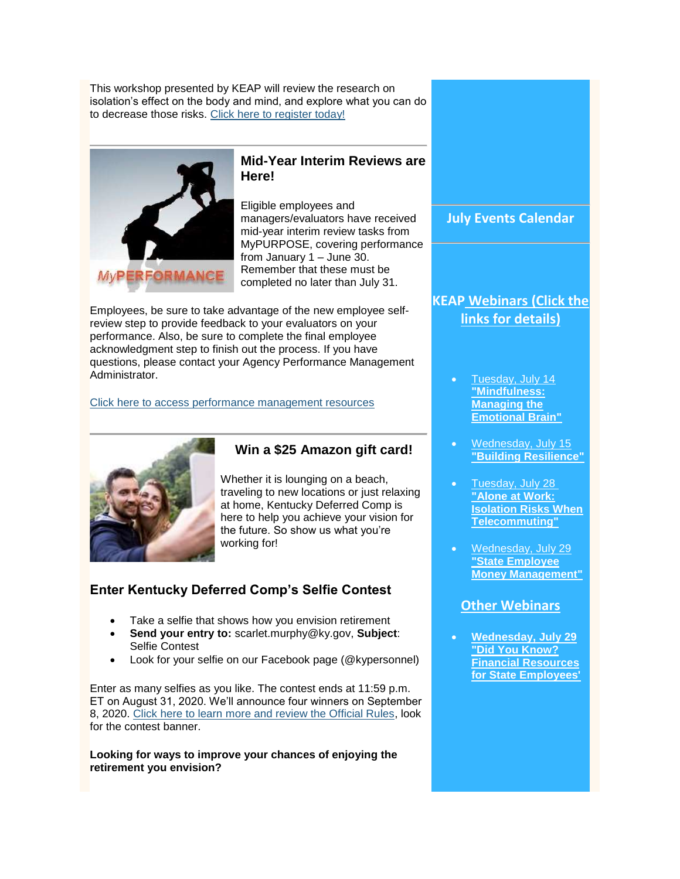This workshop presented by KEAP will review the research on isolation's effect on the body and mind, and explore what you can do to decrease those risks. [Click here to register today!](https://mykentucky.gov/app/mypurpose/)



## **Mid-Year Interim Reviews are Here!**

Eligible employees and managers/evaluators have received mid-year interim review tasks from MyPURPOSE, covering performance from January 1 – June 30. Remember that these must be completed no later than July 31.

Employees, be sure to take advantage of the new employee selfreview step to provide feedback to your evaluators on your performance. Also, be sure to complete the final employee acknowledgment step to finish out the process. If you have questions, please contact your Agency Performance Management Administrator.

#### [Click here to access performance management resources](https://personnel.ky.gov/Pages/learning-PerfEval.aspx)



## **Win a \$25 Amazon gift card!**

Whether it is lounging on a beach, traveling to new locations or just relaxing at home, Kentucky Deferred Comp is here to help you achieve your vision for the future. So show us what you're working for!

## **Enter Kentucky Deferred Comp's Selfie Contest**

- Take a selfie that shows how you envision retirement
- **Send your entry to:** scarlet.murphy@ky.gov, **Subject**: Selfie Contest
- Look for your selfie on our Facebook page (@kypersonnel)

Enter as many selfies as you like. The contest ends at 11:59 p.m. ET on August 31, 2020. We'll announce four winners on September 8, 2020. [Click here to learn more and review the Official Rules,](https://www.kentuckyplans.com/iApp/tcm/kentuckyplans/index.jsp) look for the contest banner.

**Looking for ways to improve your chances of enjoying the retirement you envision?**

**July Events Calendar**

## **[KEAP](https://personnel.ky.gov/Pages/CourseCalendar.aspx) Webinars (Click the links for details)**

- [Tuesday, July 14](https://personnel.ky.gov/Lists/CalendarOfEvents/DispForm.aspx?ID=382&Source=https%3A%2F%2Fpersonnel%2Eky%2Egov%2FPages%2Femployeeevents%2Easpx) **["Mindfulness:](https://personnel.ky.gov/Lists/CalendarOfEvents/DispForm.aspx?ID=382&Source=https%3A%2F%2Fpersonnel%2Eky%2Egov%2FPages%2Femployeeevents%2Easpx)  [Managing the](https://personnel.ky.gov/Lists/CalendarOfEvents/DispForm.aspx?ID=382&Source=https%3A%2F%2Fpersonnel%2Eky%2Egov%2FPages%2Femployeeevents%2Easpx)  [Emotional Brain"](https://personnel.ky.gov/Lists/CalendarOfEvents/DispForm.aspx?ID=382&Source=https%3A%2F%2Fpersonnel%2Eky%2Egov%2FPages%2Femployeeevents%2Easpx)**
- [Wednesday, July 15](https://personnel.ky.gov/Lists/CalendarOfEvents/DispForm.aspx?ID=383&Source=https%3A%2F%2Fpersonnel%2Eky%2Egov%2FPages%2Femployeeevents%2Easpx) **["Building Resilience"](https://personnel.ky.gov/Lists/CalendarOfEvents/DispForm.aspx?ID=383&Source=https%3A%2F%2Fpersonnel%2Eky%2Egov%2FPages%2Femployeeevents%2Easpx)**
- [Tuesday, July 28](https://personnel.ky.gov/Lists/CalendarOfEvents/DispForm.aspx?ID=384&Source=https%3A%2F%2Fpersonnel%2Eky%2Egov%2FPages%2Femployeeevents%2Easpx) **["Alone at Work:](https://personnel.ky.gov/Lists/CalendarOfEvents/DispForm.aspx?ID=384&Source=https%3A%2F%2Fpersonnel%2Eky%2Egov%2FPages%2Femployeeevents%2Easpx)  [Isolation Risks When](https://personnel.ky.gov/Lists/CalendarOfEvents/DispForm.aspx?ID=384&Source=https%3A%2F%2Fpersonnel%2Eky%2Egov%2FPages%2Femployeeevents%2Easpx)  [Telecommuting"](https://personnel.ky.gov/Lists/CalendarOfEvents/DispForm.aspx?ID=384&Source=https%3A%2F%2Fpersonnel%2Eky%2Egov%2FPages%2Femployeeevents%2Easpx)**
- [Wednesday, July 29](https://personnel.ky.gov/Lists/CalendarOfEvents/DispForm.aspx?ID=376&Source=https%3A%2F%2Fpersonnel%2Eky%2Egov%2FPages%2Femployeeevents%2Easpx) **["State Employee](https://personnel.ky.gov/Lists/CalendarOfEvents/DispForm.aspx?ID=376&Source=https%3A%2F%2Fpersonnel%2Eky%2Egov%2FPages%2Femployeeevents%2Easpx)  [Money Management"](https://personnel.ky.gov/Lists/CalendarOfEvents/DispForm.aspx?ID=376&Source=https%3A%2F%2Fpersonnel%2Eky%2Egov%2FPages%2Femployeeevents%2Easpx)**

## **Other Webinars**

 **[Wednesday, July 29](https://mykentucky.gov/app/mypurpose/)  ["Did You Know?](https://mykentucky.gov/app/mypurpose/)  [Financial Resources](https://mykentucky.gov/app/mypurpose/)  [for State Employees'](https://mykentucky.gov/app/mypurpose/)**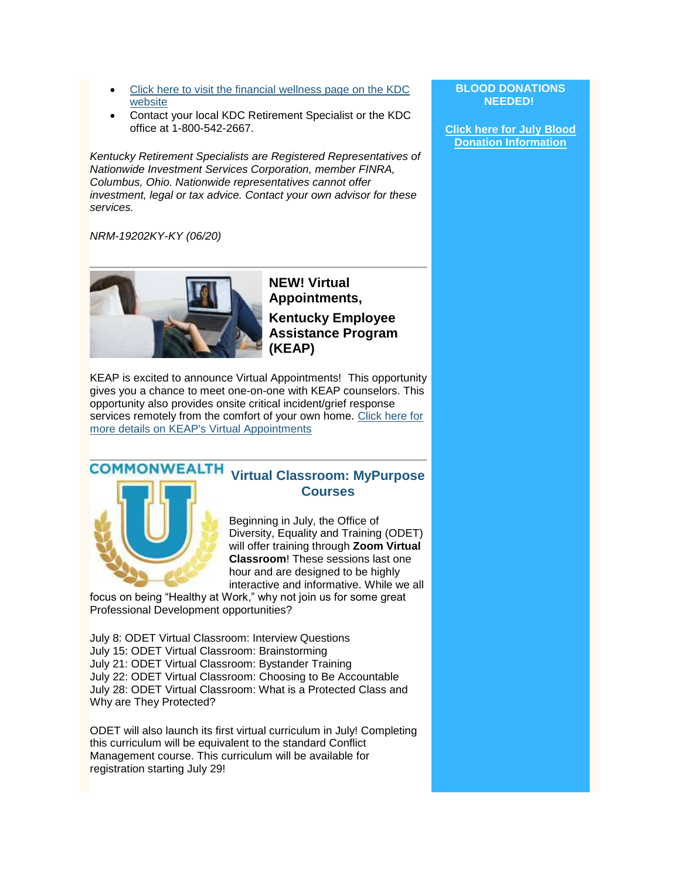- [Click here to visit the financial wellness page on the KDC](https://www.kentuckyplans.com/iApp/tcm/kentuckyplans/index.jsp)  [website](https://www.kentuckyplans.com/iApp/tcm/kentuckyplans/index.jsp)
- Contact your local KDC Retirement Specialist or the KDC office at 1-800-542-2667.

*Kentucky Retirement Specialists are Registered Representatives of Nationwide Investment Services Corporation, member FINRA, Columbus, Ohio. Nationwide representatives cannot offer investment, legal or tax advice. Contact your own advisor for these services.*

#### *NRM-19202KY-KY (06/20)*



**NEW! Virtual Appointments, Kentucky Employee Assistance Program (KEAP)**

KEAP is excited to announce Virtual Appointments! This opportunity gives you a chance to meet one-on-one with KEAP counselors. This opportunity also provides onsite critical incident/grief response services remotely from the comfort of your own home. [Click here for](https://personnel.ky.gov/Pages/KEAP-Virtual-Appointment.aspx)  [more details on KEAP's Virtual Appointments](https://personnel.ky.gov/Pages/KEAP-Virtual-Appointment.aspx)

#### **COMMONWEALTH [Virtual Classroom: MyPurpose](https://mypurpose.ky.gov/)  [Courses](https://mypurpose.ky.gov/)**

Beginning in July, the Office of Diversity, Equality and Training (ODET) will offer training through **Zoom Virtual Classroom**! These sessions last one hour and are designed to be highly interactive and informative. While we all

focus on being "Healthy at Work," why not join us for some great Professional Development opportunities?

July 8: ODET Virtual Classroom: Interview Questions July 15: ODET Virtual Classroom: Brainstorming July 21: ODET Virtual Classroom: Bystander Training July 22: ODET Virtual Classroom: Choosing to Be Accountable July 28: ODET Virtual Classroom: What is a Protected Class and Why are They Protected?

ODET will also launch its first virtual curriculum in July! Completing this curriculum will be equivalent to the standard Conflict Management course. This curriculum will be available for registration starting July 29!

#### **BLOOD DONATIONS NEEDED!**

**[Click here for July Blood](https://personnel.ky.gov/Pages/Blood-Donation-Calendar-.aspx)  [Donation Information](https://personnel.ky.gov/Pages/Blood-Donation-Calendar-.aspx)**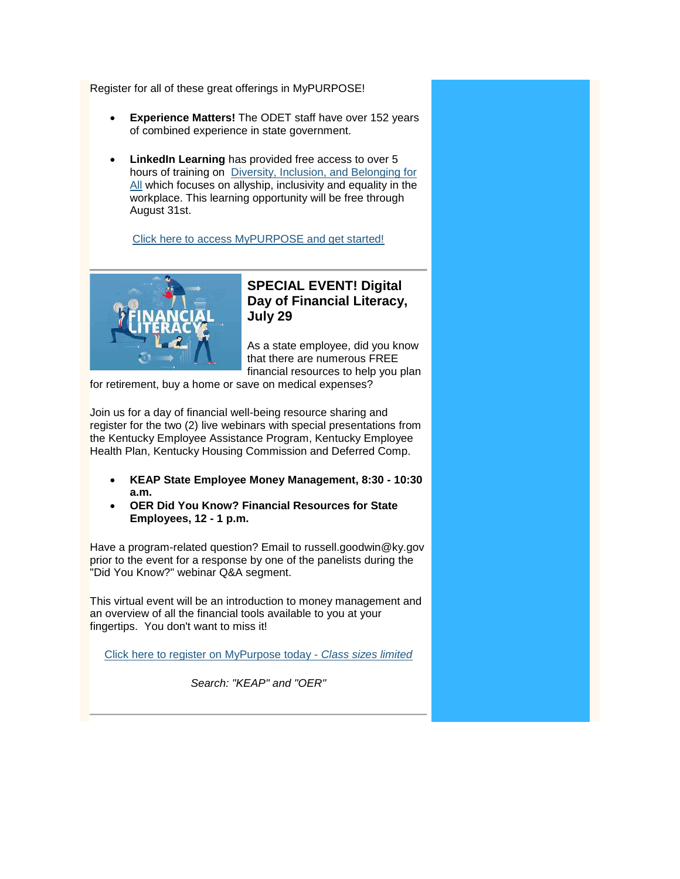Register for all of these great offerings in MyPURPOSE!

- **Experience Matters!** The ODET staff have over 152 years of combined experience in state government.
- **LinkedIn Learning** has provided free access to over 5 hours of training on [Diversity, Inclusion, and Belonging for](https://www.linkedin.com/learning/paths/diversity-inclusion-and-belonging-for-all?trk=lilblog_06-03-20_diversity-inclusion-learning-path-cQ420v_learning)  [All](https://www.linkedin.com/learning/paths/diversity-inclusion-and-belonging-for-all?trk=lilblog_06-03-20_diversity-inclusion-learning-path-cQ420v_learning) which focuses on allyship, inclusivity and equality in the workplace. This learning opportunity will be free through August 31st.

[Click here to access MyPURPOSE and get started!](https://mypurpose.ky.gov/)



## **SPECIAL EVENT! Digital Day of Financial Literacy, July 29**

As a state employee, did you know that there are numerous FREE financial resources to help you plan

for retirement, buy a home or save on medical expenses?

Join us for a day of financial well-being resource sharing and register for the two (2) live webinars with special presentations from the Kentucky Employee Assistance Program, Kentucky Employee Health Plan, Kentucky Housing Commission and Deferred Comp.

- **KEAP State Employee Money Management, 8:30 - 10:30 a.m.**
- **OER Did You Know? Financial Resources for State Employees, 12 - 1 p.m.**

Have a program-related question? Email to russell.goodwin@ky.gov prior to the event for a response by one of the panelists during the "Did You Know?" webinar Q&A segment.

This virtual event will be an introduction to money management and an overview of all the financial tools available to you at your fingertips. You don't want to miss it!

[Click here to register on](https://mykentucky.gov/app/mypurpose/) [MyPurpose](https://mykentucky.gov/app/mypurpose/) today - *[Class sizes limited](https://mykentucky.gov/app/mypurpose/)*

*Search: "KEAP" and "OER"*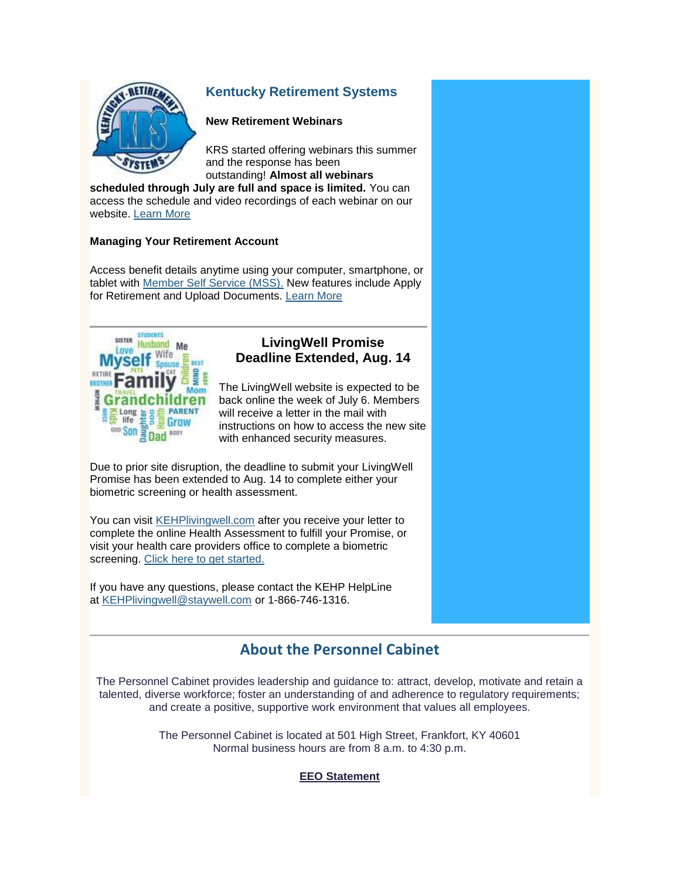

## **[Kentucky Retirement Systems](https://kyret.ky.gov/Pages/index.aspx)**

#### **New Retirement Webinars**

KRS started offering webinars this summer and the response has been outstanding! **Almost all webinars** 

**scheduled through July are full and space is limited.** You can access the schedule and video recordings of each webinar on our website. [Learn More](https://kyret.ky.gov/Members/Outreach_and_Programs/Pages/Webinars-and-Videos.aspx)

### **Managing Your Retirement Account**

Access benefit details anytime using your computer, smartphone, or tablet with [Member Self Service \(MSS\).](https://myretirement.ky.gov/Bearingpoint.BPAS.WebUI.Internet/Common/Pages/Login.aspx) New features include Apply for Retirement and Upload Documents. [Learn More](https://kyret.ky.gov/Members/Pages/Self-Service.aspx)



## **LivingWell Promise Deadline Extended, Aug. 14**

The LivingWell website is expected to be back online the week of July 6. Members will receive a letter in the mail with instructions on how to access the new site with enhanced security measures.

Due to prior site disruption, the deadline to submit your LivingWell Promise has been extended to Aug. 14 to complete either your biometric screening or health assessment.

You can visit [KEHPlivingwell.com](https://admin.govdelivery.com/accounts/KYPERS/kehplivingwell.com) after you receive your letter to complete the online Health Assessment to fulfill your Promise, or visit your health care providers office to complete a biometric screening. [Click here to get started.](https://www.totalwellnesshealth.com/gravity-landing/kehp/)

If you have any questions, please contact the KEHP HelpLine at [KEHPlivingwell@staywell.com](mailto:KEHPlivingwell@staywell.com) or 1-866-746-1316.

## **[About the Personnel Cabinet](https://personnel.ky.gov/pages/about-cabinet.aspx)**

The Personnel Cabinet provides leadership and guidance to: attract, develop, motivate and retain a talented, diverse workforce; foster an understanding of and adherence to regulatory requirements; and create a positive, supportive work environment that values all employees.

> The Personnel Cabinet is located at 501 High Street, Frankfort, KY 40601 Normal business hours are from 8 a.m. to 4:30 p.m.

### **EEO Statement**